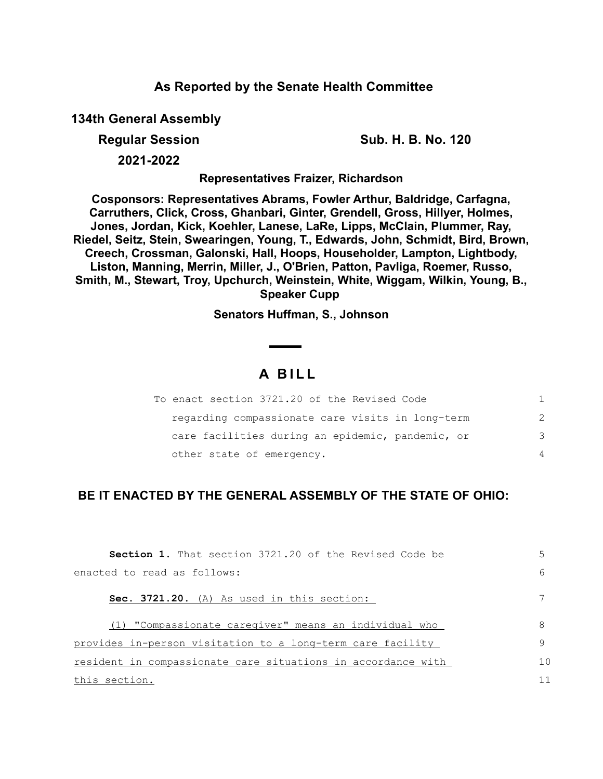### **As Reported by the Senate Health Committee**

**134th General Assembly**

**Regular Session Sub. H. B. No. 120**

**2021-2022**

**Representatives Fraizer, Richardson**

**Cosponsors: Representatives Abrams, Fowler Arthur, Baldridge, Carfagna, Carruthers, Click, Cross, Ghanbari, Ginter, Grendell, Gross, Hillyer, Holmes, Jones, Jordan, Kick, Koehler, Lanese, LaRe, Lipps, McClain, Plummer, Ray, Riedel, Seitz, Stein, Swearingen, Young, T., Edwards, John, Schmidt, Bird, Brown, Creech, Crossman, Galonski, Hall, Hoops, Householder, Lampton, Lightbody, Liston, Manning, Merrin, Miller, J., O'Brien, Patton, Pavliga, Roemer, Russo, Smith, M., Stewart, Troy, Upchurch, Weinstein, White, Wiggam, Wilkin, Young, B., Speaker Cupp** 

**Senators Huffman, S., Johnson**

# **A B I L L**

| To enact section 3721.20 of the Revised Code     |               |
|--------------------------------------------------|---------------|
| regarding compassionate care visits in long-term | $\mathcal{P}$ |
| care facilities during an epidemic, pandemic, or | 3             |
| other state of emergency.                        | 4             |

## **BE IT ENACTED BY THE GENERAL ASSEMBLY OF THE STATE OF OHIO:**

| <b>Section 1.</b> That section 3721.20 of the Revised Code be | 5              |
|---------------------------------------------------------------|----------------|
| enacted to read as follows:                                   | 6              |
| Sec. 3721.20. (A) As used in this section:                    |                |
| (1) "Compassionate caregiver" means an individual who         | 8              |
| provides in-person visitation to a long-term care facility    | 9              |
| resident in compassionate care situations in accordance with  | 1 <sub>0</sub> |
| this section.                                                 | 11             |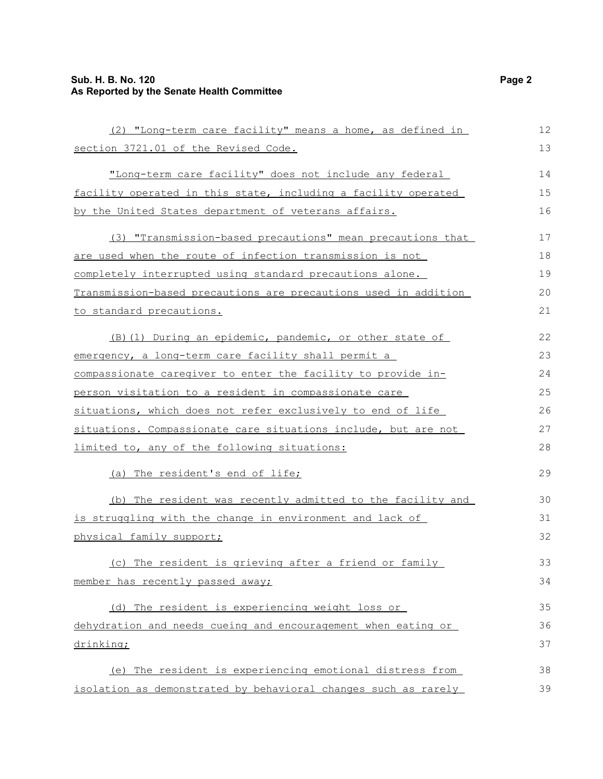#### **Sub. H. B. No. 120 Page 2 As Reported by the Senate Health Committee**

| (2) "Long-term care facility" means a home, as defined in       | 12 |
|-----------------------------------------------------------------|----|
| section 3721.01 of the Revised Code.                            | 13 |
| "Long-term care facility" does not include any federal          | 14 |
| facility operated in this state, including a facility operated  | 15 |
| by the United States department of veterans affairs.            | 16 |
| (3) "Transmission-based precautions" mean precautions that      | 17 |
| are used when the route of infection transmission is not        | 18 |
| completely interrupted using standard precautions alone.        | 19 |
| Transmission-based precautions are precautions used in addition | 20 |
| to standard precautions.                                        | 21 |
| (B) (1) During an epidemic, pandemic, or other state of         | 22 |
| emergency, a long-term care facility shall permit a             | 23 |
| compassionate caregiver to enter the facility to provide in-    | 24 |
| person visitation to a resident in compassionate care           | 25 |
| situations, which does not refer exclusively to end of life     | 26 |
| situations. Compassionate care situations include, but are not  | 27 |
| limited to, any of the following situations:                    | 28 |
| (a) The resident's end of life;                                 | 29 |
| (b) The resident was recently admitted to the facility and      | 30 |
| is struggling with the change in environment and lack of        | 31 |
| physical family support;                                        | 32 |
| (c) The resident is grieving after a friend or family           | 33 |
| member has recently passed away;                                | 34 |
| (d) The resident is experiencing weight loss or                 | 35 |
| dehydration and needs cueing and encouragement when eating or   | 36 |
| drinking;                                                       | 37 |
| (e) The resident is experiencing emotional distress from        | 38 |
| isolation as demonstrated by behavioral changes such as rarely  | 39 |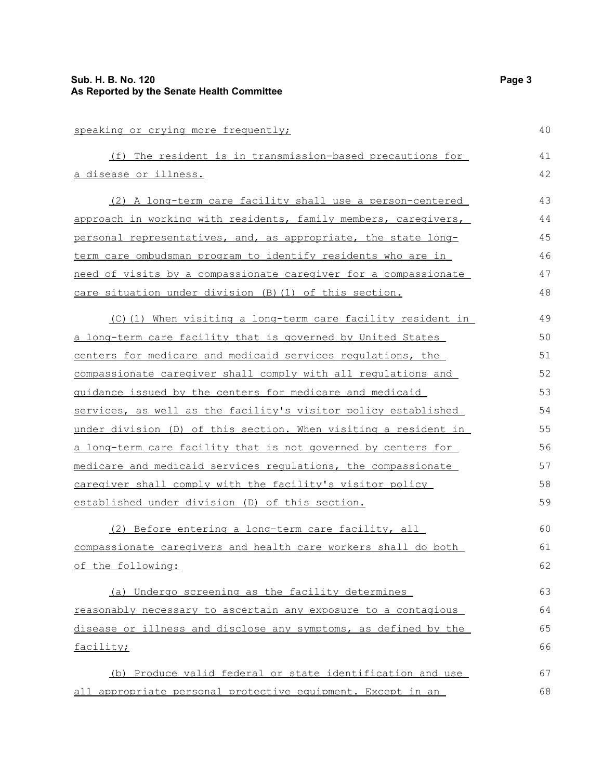| speaking or crying more frequently;                             | 40 |
|-----------------------------------------------------------------|----|
| (f) The resident is in transmission-based precautions for       | 41 |
| a disease or illness.                                           | 42 |
| (2) A long-term care facility shall use a person-centered       | 43 |
| approach in working with residents, family members, caregivers, | 44 |
| personal representatives, and, as appropriate, the state long-  | 45 |
| term care ombudsman program to identify residents who are in    | 46 |
| need of visits by a compassionate caregiver for a compassionate | 47 |
| care situation under division (B) (1) of this section.          | 48 |
| (C)(1) When visiting a long-term care facility resident in      | 49 |
| a long-term care facility that is governed by United States     | 50 |
| centers for medicare and medicaid services requlations, the     | 51 |
| compassionate caregiver shall comply with all regulations and   | 52 |
| guidance issued by the centers for medicare and medicaid        | 53 |
| services, as well as the facility's visitor policy established  | 54 |
| under division (D) of this section. When visiting a resident in | 55 |
| a long-term care facility that is not governed by centers for   | 56 |
| medicare and medicaid services regulations, the compassionate   | 57 |
| caregiver shall comply with the facility's visitor policy       | 58 |
| established under division (D) of this section.                 | 59 |
| (2) Before entering a long-term care facility, all              | 60 |
| compassionate caregivers and health care workers shall do both  | 61 |
| of the following:                                               | 62 |
| (a) Undergo screening as the facility determines                | 63 |
| reasonably necessary to ascertain any exposure to a contagious  | 64 |
| disease or illness and disclose any symptoms, as defined by the | 65 |
| facility;                                                       | 66 |
| (b) Produce valid federal or state identification and use       | 67 |
| all appropriate personal protective equipment. Except in an     | 68 |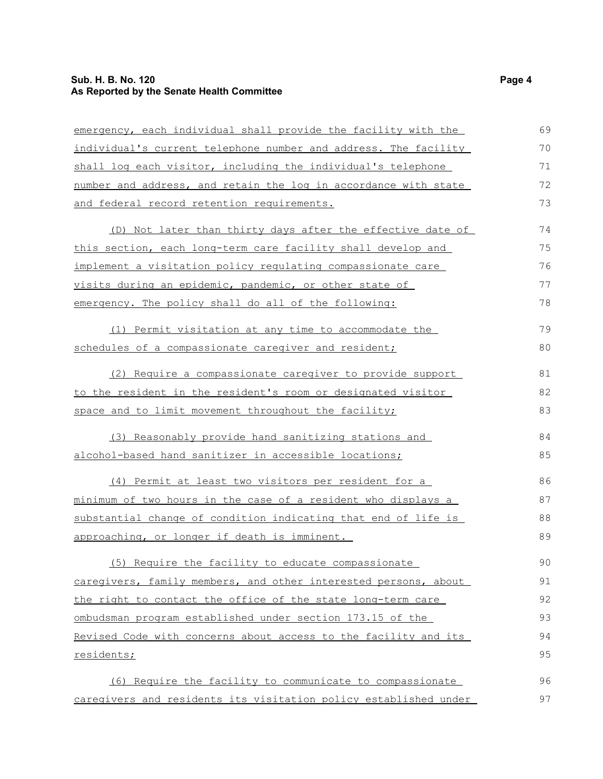#### **Sub. H. B. No. 120 Page 4 As Reported by the Senate Health Committee**

| emergency, each individual shall provide the facility with the      | 69 |
|---------------------------------------------------------------------|----|
| individual's current telephone number and address. The facility     | 70 |
| shall log each visitor, including the individual's telephone        | 71 |
| number and address, and retain the log in accordance with state     | 72 |
| and federal record retention requirements.                          | 73 |
| (D) Not later than thirty days after the effective date of          | 74 |
| this section, each long-term care facility shall develop and        | 75 |
| implement a visitation policy regulating compassionate care         | 76 |
| visits during an epidemic, pandemic, or other state of              | 77 |
| emergency. The policy shall do all of the following:                | 78 |
| (1) Permit visitation at any time to accommodate the                | 79 |
| schedules of a compassionate caregiver and resident;                | 80 |
| (2) Require a compassionate caregiver to provide support            | 81 |
| <u>to the resident in the resident's room or designated visitor</u> | 82 |
| space and to limit movement throughout the facility;                | 83 |
| (3) Reasonably provide hand sanitizing stations and                 | 84 |
| <u>alcohol-based hand sanitizer in accessible locations;</u>        | 85 |
| (4) Permit at least two visitors per resident for a                 | 86 |
| minimum of two hours in the case of a resident who displays a       | 87 |
| substantial change of condition indicating that end of life is      | 88 |
| approaching, or longer if death is imminent.                        | 89 |
| (5) Require the facility to educate compassionate                   | 90 |
| caregivers, family members, and other interested persons, about     | 91 |
| the right to contact the office of the state long-term care         | 92 |
| ombudsman program established under section 173.15 of the           | 93 |
| Revised Code with concerns about access to the facility and its     | 94 |
| residents;                                                          | 95 |
| (6) Require the facility to communicate to compassionate            | 96 |
| caregivers and residents its visitation policy established under    | 97 |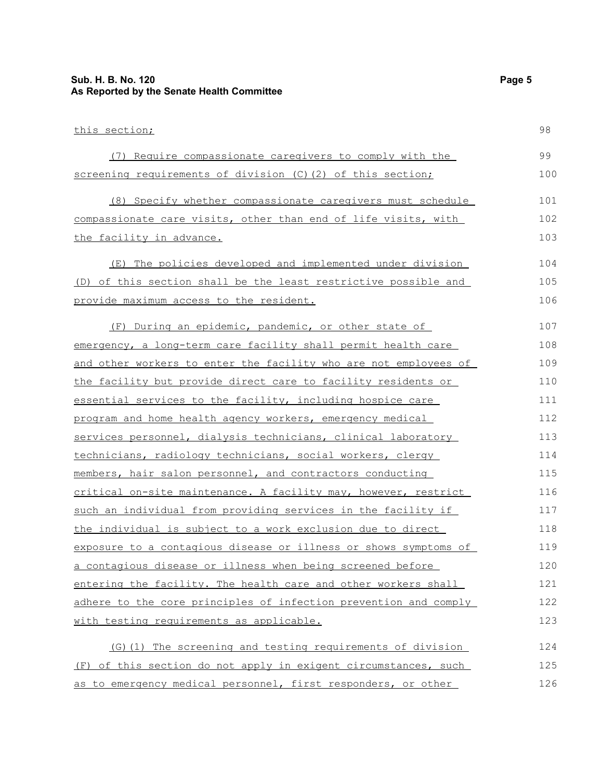#### **Sub. H. B. No. 120 Page 5 As Reported by the Senate Health Committee**

| this section;                                                    | 98  |
|------------------------------------------------------------------|-----|
| (7) Require compassionate caregivers to comply with the          | 99  |
| screening requirements of division (C)(2) of this section;       | 100 |
| (8) Specify whether compassionate caregivers must schedule       | 101 |
| compassionate care visits, other than end of life visits, with   | 102 |
| the facility in advance.                                         | 103 |
| The policies developed and implemented under division<br>(E)     | 104 |
| (D) of this section shall be the least restrictive possible and  | 105 |
| provide maximum access to the resident.                          | 106 |
| During an epidemic, pandemic, or other state of<br>(F)           | 107 |
| emergency, a long-term care facility shall permit health care    | 108 |
| and other workers to enter the facility who are not employees of | 109 |
| the facility but provide direct care to facility residents or    | 110 |
| essential services to the facility, including hospice care       | 111 |
| program and home health agency workers, emergency medical        | 112 |
| services personnel, dialysis technicians, clinical laboratory    | 113 |
| technicians, radiology technicians, social workers, clergy       | 114 |
| members, hair salon personnel, and contractors conducting        | 115 |
| critical on-site maintenance. A facility may, however, restrict  | 116 |
| such an individual from providing services in the facility if    | 117 |
| the individual is subject to a work exclusion due to direct      | 118 |
| exposure to a contagious disease or illness or shows symptoms of | 119 |
| a contagious disease or illness when being screened before       | 120 |
| entering the facility. The health care and other workers shall   | 121 |
| adhere to the core principles of infection prevention and comply | 122 |
| with testing requirements as applicable.                         | 123 |
| (G) (1) The screening and testing requirements of division       | 124 |
| (F) of this section do not apply in exigent circumstances, such  | 125 |
| as to emergency medical personnel, first responders, or other    | 126 |